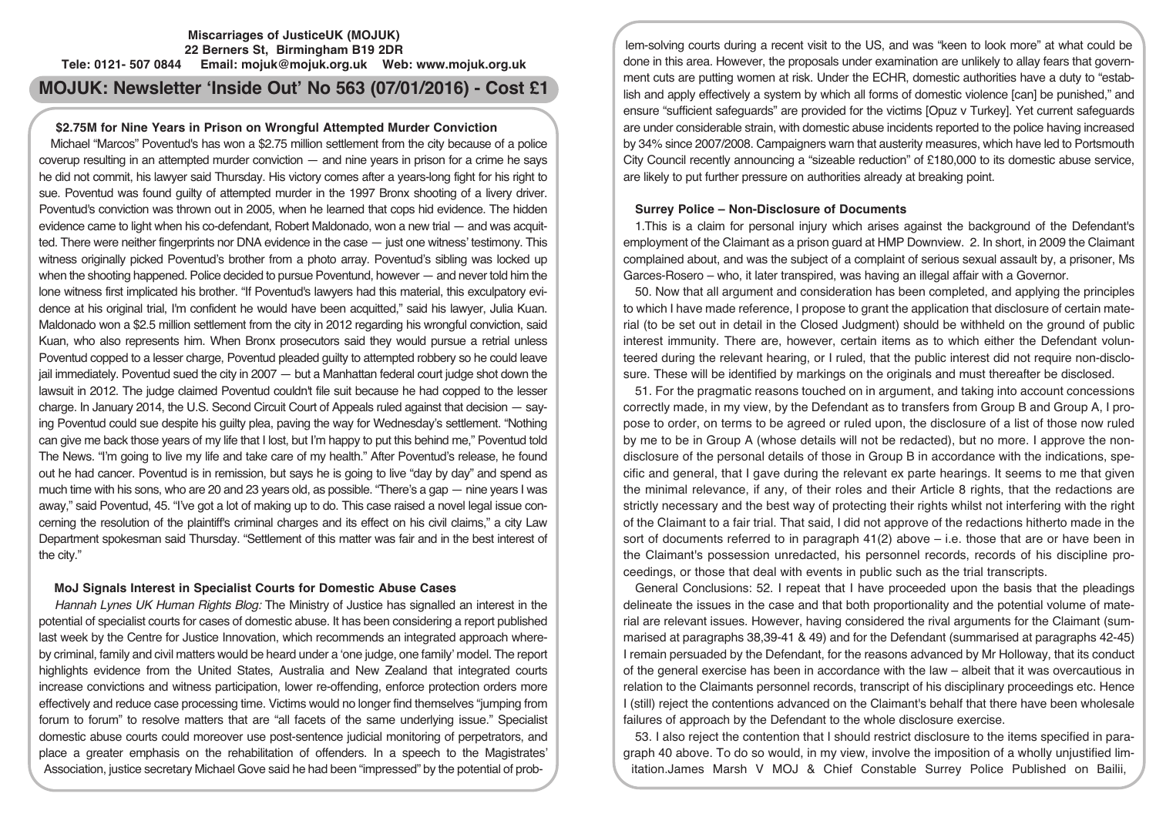#### **Miscarriages of JusticeUK (MOJUK) 22 Berners St, Birmingham B19 2DR Tele: 0121- 507 0844 Email: mojuk@mojuk.org.uk Web: www.mojuk.org.uk**

# **MOJUK: Newsletter 'Inside Out' No 563 (07/01/2016) - Cost £1**

## **\$2.75M for Nine Years in Prison on Wrongful Attempted Murder Conviction**

Michael "Marcos" Poventud's has won a \$2.75 million settlement from the city because of a police coverup resulting in an attempted murder conviction — and nine years in prison for a crime he says he did not commit, his lawyer said Thursday. His victory comes after a years-long fight for his right to sue. Poventud was found guilty of attempted murder in the 1997 Bronx shooting of a livery driver. Poventud's conviction was thrown out in 2005, when he learned that cops hid evidence. The hidden evidence came to light when his co-defendant, Robert Maldonado, won a new trial — and was acquitted. There were neither fingerprints nor DNA evidence in the case — just one witness' testimony. This witness originally picked Poventud's brother from a photo array. Poventud's sibling was locked up when the shooting happened. Police decided to pursue Poventund, however — and never told him the lone witness first implicated his brother. "If Poventud's lawyers had this material, this exculpatory evidence at his original trial, I'm confident he would have been acquitted," said his lawyer, Julia Kuan. Maldonado won a \$2.5 million settlement from the city in 2012 regarding his wrongful conviction, said Kuan, who also represents him. When Bronx prosecutors said they would pursue a retrial unless Poventud copped to a lesser charge, Poventud pleaded guilty to attempted robbery so he could leave jail immediately. Poventud sued the city in 2007 — but a Manhattan federal court judge shot down the lawsuit in 2012. The judge claimed Poventud couldn't file suit because he had copped to the lesser charge. In January 2014, the U.S. Second Circuit Court of Appeals ruled against that decision — saying Poventud could sue despite his guilty plea, paving the way for Wednesday's settlement. "Nothing can give me back those years of my life that I lost, but I'm happy to put this behind me," Poventud told The News. "I'm going to live my life and take care of my health." After Poventud's release, he found out he had cancer. Poventud is in remission, but says he is going to live "day by day" and spend as much time with his sons, who are 20 and 23 years old, as possible. "There's a gap — nine years I was away," said Poventud, 45. "I've got a lot of making up to do. This case raised a novel legal issue concerning the resolution of the plaintiff's criminal charges and its effect on his civil claims," a city Law Department spokesman said Thursday. "Settlement of this matter was fair and in the best interest of the city."

#### **MoJ Signals Interest in Specialist Courts for Domestic Abuse Cases**

*Hannah Lynes UK Human Rights Blog:* The Ministry of Justice has signalled an interest in the potential of specialist courts for cases of domestic abuse. It has been considering a report published last week by the Centre for Justice Innovation, which recommends an integrated approach whereby criminal, family and civil matters would be heard under a 'one judge, one family' model. The report highlights evidence from the United States, Australia and New Zealand that integrated courts increase convictions and witness participation, lower re-offending, enforce protection orders more effectively and reduce case processing time. Victims would no longer find themselves "jumping from forum to forum" to resolve matters that are "all facets of the same underlying issue." Specialist domestic abuse courts could moreover use post-sentence judicial monitoring of perpetrators, and place a greater emphasis on the rehabilitation of offenders. In a speech to the Magistrates' Association, justice secretary Michael Gove said he had been "impressed" by the potential of prob-

lem-solving courts during a recent visit to the US, and was "keen to look more" at what could be done in this area. However, the proposals under examination are unlikely to allay fears that government cuts are putting women at risk. Under the ECHR, domestic authorities have a duty to "establish and apply effectively a system by which all forms of domestic violence [can] be punished," and ensure "sufficient safeguards" are provided for the victims [Opuz v Turkey]. Yet current safeguards are under considerable strain, with domestic abuse incidents reported to the police having increased by 34% since 2007/2008. Campaigners warn that austerity measures, which have led to Portsmouth City Council recently announcing a "sizeable reduction" of £180,000 to its domestic abuse service, are likely to put further pressure on authorities already at breaking point.

#### **Surrey Police – Non-Disclosure of Documents**

1.This is a claim for personal injury which arises against the background of the Defendant's employment of the Claimant as a prison guard at HMP Downview. 2. In short, in 2009 the Claimant complained about, and was the subject of a complaint of serious sexual assault by, a prisoner, Ms Garces-Rosero – who, it later transpired, was having an illegal affair with a Governor.

50. Now that all argument and consideration has been completed, and applying the principles to which I have made reference, I propose to grant the application that disclosure of certain material (to be set out in detail in the Closed Judgment) should be withheld on the ground of public interest immunity. There are, however, certain items as to which either the Defendant volunteered during the relevant hearing, or I ruled, that the public interest did not require non-disclosure. These will be identified by markings on the originals and must thereafter be disclosed.

51. For the pragmatic reasons touched on in argument, and taking into account concessions correctly made, in my view, by the Defendant as to transfers from Group B and Group A, I propose to order, on terms to be agreed or ruled upon, the disclosure of a list of those now ruled by me to be in Group A (whose details will not be redacted), but no more. I approve the nondisclosure of the personal details of those in Group B in accordance with the indications, specific and general, that I gave during the relevant ex parte hearings. It seems to me that given the minimal relevance, if any, of their roles and their Article 8 rights, that the redactions are strictly necessary and the best way of protecting their rights whilst not interfering with the right of the Claimant to a fair trial. That said, I did not approve of the redactions hitherto made in the sort of documents referred to in paragraph  $41(2)$  above  $-$  i.e. those that are or have been in the Claimant's possession unredacted, his personnel records, records of his discipline proceedings, or those that deal with events in public such as the trial transcripts.

General Conclusions: 52. I repeat that I have proceeded upon the basis that the pleadings delineate the issues in the case and that both proportionality and the potential volume of material are relevant issues. However, having considered the rival arguments for the Claimant (summarised at paragraphs 38,39-41 & 49) and for the Defendant (summarised at paragraphs 42-45) I remain persuaded by the Defendant, for the reasons advanced by Mr Holloway, that its conduct of the general exercise has been in accordance with the law – albeit that it was overcautious in relation to the Claimants personnel records, transcript of his disciplinary proceedings etc. Hence I (still) reject the contentions advanced on the Claimant's behalf that there have been wholesale failures of approach by the Defendant to the whole disclosure exercise.

53. I also reject the contention that I should restrict disclosure to the items specified in paragraph 40 above. To do so would, in my view, involve the imposition of a wholly unjustified limitation.James Marsh V MOJ & Chief Constable Surrey Police Published on Bailii,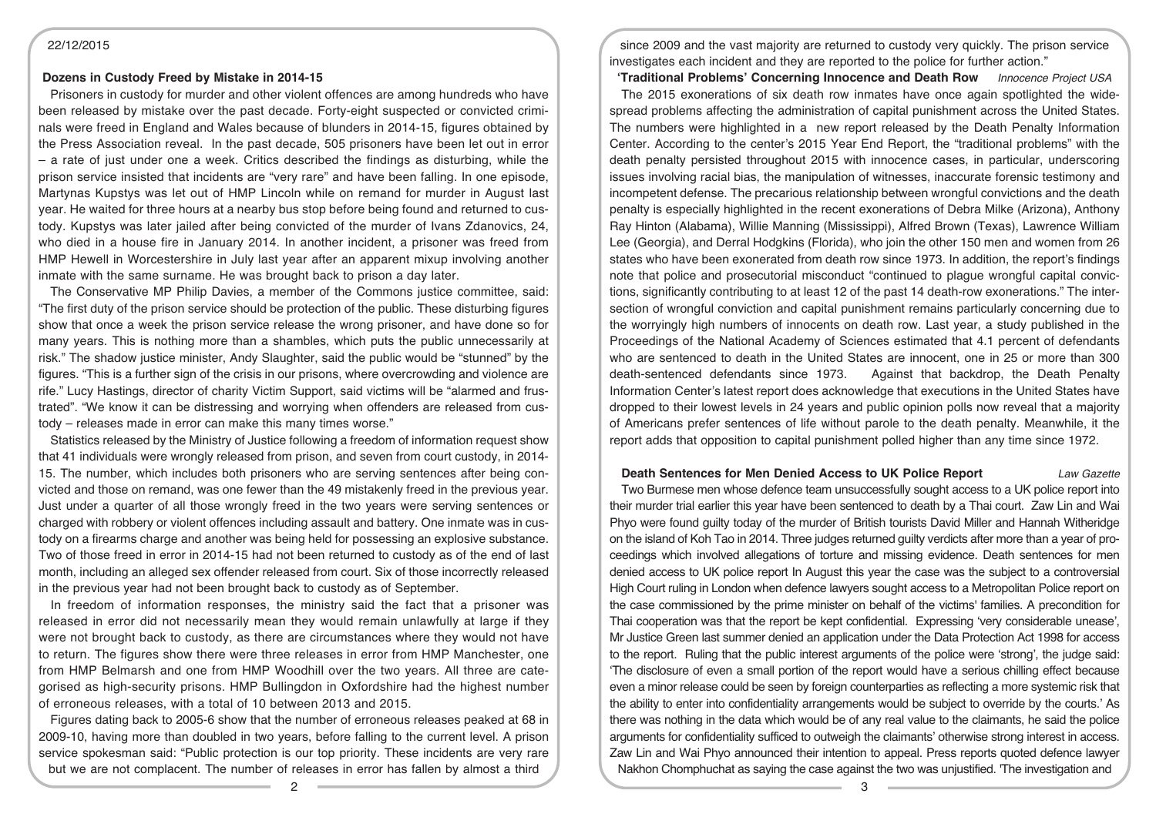### 22/12/2015

## **Dozens in Custody Freed by Mistake in 2014-15**

Prisoners in custody for murder and other violent offences are among hundreds who have been released by mistake over the past decade. Forty-eight suspected or convicted criminals were freed in England and Wales because of blunders in 2014-15, figures obtained by the Press Association reveal. In the past decade, 505 prisoners have been let out in error – a rate of just under one a week. Critics described the findings as disturbing, while the prison service insisted that incidents are "very rare" and have been falling. In one episode, Martynas Kupstys was let out of HMP Lincoln while on remand for murder in August last year. He waited for three hours at a nearby bus stop before being found and returned to custody. Kupstys was later jailed after being convicted of the murder of Ivans Zdanovics, 24, who died in a house fire in January 2014. In another incident, a prisoner was freed from HMP Hewell in Worcestershire in July last year after an apparent mixup involving another inmate with the same surname. He was brought back to prison a day later.

The Conservative MP Philip Davies, a member of the Commons justice committee, said: "The first duty of the prison service should be protection of the public. These disturbing figures show that once a week the prison service release the wrong prisoner, and have done so for many years. This is nothing more than a shambles, which puts the public unnecessarily at risk." The shadow justice minister, Andy Slaughter, said the public would be "stunned" by the figures. "This is a further sign of the crisis in our prisons, where overcrowding and violence are rife." Lucy Hastings, director of charity Victim Support, said victims will be "alarmed and frustrated". "We know it can be distressing and worrying when offenders are released from custody – releases made in error can make this many times worse."

Statistics released by the Ministry of Justice following a freedom of information request show that 41 individuals were wrongly released from prison, and seven from court custody, in 2014- 15. The number, which includes both prisoners who are serving sentences after being convicted and those on remand, was one fewer than the 49 mistakenly freed in the previous year. Just under a quarter of all those wrongly freed in the two years were serving sentences or charged with robbery or violent offences including assault and battery. One inmate was in custody on a firearms charge and another was being held for possessing an explosive substance. Two of those freed in error in 2014-15 had not been returned to custody as of the end of last month, including an alleged sex offender released from court. Six of those incorrectly released in the previous year had not been brought back to custody as of September.

In freedom of information responses, the ministry said the fact that a prisoner was released in error did not necessarily mean they would remain unlawfully at large if they were not brought back to custody, as there are circumstances where they would not have to return. The figures show there were three releases in error from HMP Manchester, one from HMP Belmarsh and one from HMP Woodhill over the two years. All three are categorised as high-security prisons. HMP Bullingdon in Oxfordshire had the highest number of erroneous releases, with a total of 10 between 2013 and 2015.

Figures dating back to 2005-6 show that the number of erroneous releases peaked at 68 in 2009-10, having more than doubled in two years, before falling to the current level. A prison service spokesman said: "Public protection is our top priority. These incidents are very rare but we are not complacent. The number of releases in error has fallen by almost a third

since 2009 and the vast majority are returned to custody very quickly. The prison service investigates each incident and they are reported to the police for further action."

**'Traditional Problems' Concerning Innocence and Death Row** *Innocence Project USA* The 2015 exonerations of six death row inmates have once again spotlighted the widespread problems affecting the administration of capital punishment across the United States. The numbers were highlighted in a new report released by the Death Penalty Information Center. According to the center's 2015 Year End Report, the "traditional problems" with the death penalty persisted throughout 2015 with innocence cases, in particular, underscoring issues involving racial bias, the manipulation of witnesses, inaccurate forensic testimony and incompetent defense. The precarious relationship between wrongful convictions and the death penalty is especially highlighted in the recent exonerations of Debra Milke (Arizona), Anthony Ray Hinton (Alabama), Willie Manning (Mississippi), Alfred Brown (Texas), Lawrence William Lee (Georgia), and Derral Hodgkins (Florida), who join the other 150 men and women from 26 states who have been exonerated from death row since 1973. In addition, the report's findings note that police and prosecutorial misconduct "continued to plague wrongful capital convictions, significantly contributing to at least 12 of the past 14 death-row exonerations." The intersection of wrongful conviction and capital punishment remains particularly concerning due to the worryingly high numbers of innocents on death row. Last year, a study published in the Proceedings of the National Academy of Sciences estimated that 4.1 percent of defendants who are sentenced to death in the United States are innocent, one in 25 or more than 300 death-sentenced defendants since 1973. Against that backdrop, the Death Penalty Information Center's latest report does acknowledge that executions in the United States have dropped to their lowest levels in 24 years and public opinion polls now reveal that a majority of Americans prefer sentences of life without parole to the death penalty. Meanwhile, it the report adds that opposition to capital punishment polled higher than any time since 1972.

# **Death Sentences for Men Denied Access to UK Police Report** *Law Gazette*

Two Burmese men whose defence team unsuccessfully sought access to a UK police report into their murder trial earlier this year have been sentenced to death by a Thai court. Zaw Lin and Wai Phyo were found guilty today of the murder of British tourists David Miller and Hannah Witheridge on the island of Koh Tao in 2014. Three judges returned guilty verdicts after more than a year of proceedings which involved allegations of torture and missing evidence. Death sentences for men denied access to UK police report In August this year the case was the subject to a controversial High Court ruling in London when defence lawyers sought access to a Metropolitan Police report on the case commissioned by the prime minister on behalf of the victims' families. A precondition for Thai cooperation was that the report be kept confidential. Expressing 'very considerable unease', Mr Justice Green last summer denied an application under the Data Protection Act 1998 for access to the report. Ruling that the public interest arguments of the police were 'strong', the judge said: 'The disclosure of even a small portion of the report would have a serious chilling effect because even a minor release could be seen by foreign counterparties as reflecting a more systemic risk that the ability to enter into confidentiality arrangements would be subject to override by the courts.' As there was nothing in the data which would be of any real value to the claimants, he said the police arguments for confidentiality sufficed to outweigh the claimants' otherwise strong interest in access. Zaw Lin and Wai Phyo announced their intention to appeal. Press reports quoted defence lawyer Nakhon Chomphuchat as saying the case against the two was unjustified. 'The investigation and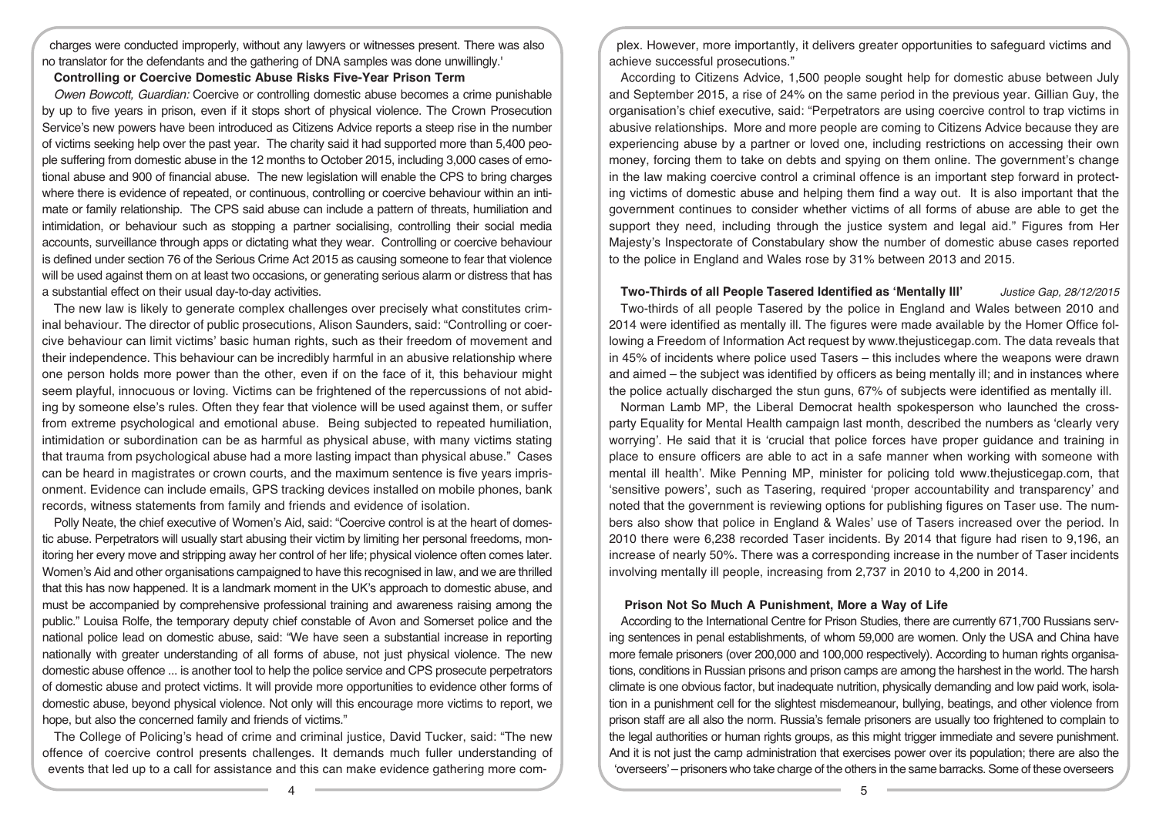charges were conducted improperly, without any lawyers or witnesses present. There was also no translator for the defendants and the gathering of DNA samples was done unwillingly.'

### **Controlling or Coercive Domestic Abuse Risks Five-Year Prison Term**

*Owen Bowcott, Guardian:* Coercive or controlling domestic abuse becomes a crime punishable by up to five years in prison, even if it stops short of physical violence. The Crown Prosecution Service's new powers have been introduced as Citizens Advice reports a steep rise in the number of victims seeking help over the past year. The charity said it had supported more than 5,400 people suffering from domestic abuse in the 12 months to October 2015, including 3,000 cases of emotional abuse and 900 of financial abuse. The new legislation will enable the CPS to bring charges where there is evidence of repeated, or continuous, controlling or coercive behaviour within an intimate or family relationship. The CPS said abuse can include a pattern of threats, humiliation and intimidation, or behaviour such as stopping a partner socialising, controlling their social media accounts, surveillance through apps or dictating what they wear. Controlling or coercive behaviour is defined under section 76 of the Serious Crime Act 2015 as causing someone to fear that violence will be used against them on at least two occasions, or generating serious alarm or distress that has a substantial effect on their usual day-to-day activities.

The new law is likely to generate complex challenges over precisely what constitutes criminal behaviour. The director of public prosecutions, Alison Saunders, said: "Controlling or coercive behaviour can limit victims' basic human rights, such as their freedom of movement and their independence. This behaviour can be incredibly harmful in an abusive relationship where one person holds more power than the other, even if on the face of it, this behaviour might seem playful, innocuous or loving. Victims can be frightened of the repercussions of not abiding by someone else's rules. Often they fear that violence will be used against them, or suffer from extreme psychological and emotional abuse. Being subjected to repeated humiliation, intimidation or subordination can be as harmful as physical abuse, with many victims stating that trauma from psychological abuse had a more lasting impact than physical abuse." Cases can be heard in magistrates or crown courts, and the maximum sentence is five years imprisonment. Evidence can include emails, GPS tracking devices installed on mobile phones, bank records, witness statements from family and friends and evidence of isolation.

Polly Neate, the chief executive of Women's Aid, said: "Coercive control is at the heart of domestic abuse. Perpetrators will usually start abusing their victim by limiting her personal freedoms, monitoring her every move and stripping away her control of her life; physical violence often comes later. Women's Aid and other organisations campaigned to have this recognised in law, and we are thrilled that this has now happened. It is a landmark moment in the UK's approach to domestic abuse, and must be accompanied by comprehensive professional training and awareness raising among the public." Louisa Rolfe, the temporary deputy chief constable of Avon and Somerset police and the national police lead on domestic abuse, said: "We have seen a substantial increase in reporting nationally with greater understanding of all forms of abuse, not just physical violence. The new domestic abuse offence ... is another tool to help the police service and CPS prosecute perpetrators of domestic abuse and protect victims. It will provide more opportunities to evidence other forms of domestic abuse, beyond physical violence. Not only will this encourage more victims to report, we hope, but also the concerned family and friends of victims."

The College of Policing's head of crime and criminal justice, David Tucker, said: "The new offence of coercive control presents challenges. It demands much fuller understanding of events that led up to a call for assistance and this can make evidence gathering more com-

plex. However, more importantly, it delivers greater opportunities to safeguard victims and achieve successful prosecutions."

According to Citizens Advice, 1,500 people sought help for domestic abuse between July and September 2015, a rise of 24% on the same period in the previous year. Gillian Guy, the organisation's chief executive, said: "Perpetrators are using coercive control to trap victims in abusive relationships. More and more people are coming to Citizens Advice because they are experiencing abuse by a partner or loved one, including restrictions on accessing their own money, forcing them to take on debts and spying on them online. The government's change in the law making coercive control a criminal offence is an important step forward in protecting victims of domestic abuse and helping them find a way out. It is also important that the government continues to consider whether victims of all forms of abuse are able to get the support they need, including through the justice system and legal aid." Figures from Her Majesty's Inspectorate of Constabulary show the number of domestic abuse cases reported to the police in England and Wales rose by 31% between 2013 and 2015.

**Two-Thirds of all People Tasered Identified as 'Mentally Ill'** *Justice Gap, 28/12/2015* Two-thirds of all people Tasered by the police in England and Wales between 2010 and 2014 were identified as mentally ill. The figures were made available by the Homer Office following a Freedom of Information Act request by www.thejusticegap.com. The data reveals that in 45% of incidents where police used Tasers – this includes where the weapons were drawn and aimed – the subject was identified by officers as being mentally ill; and in instances where the police actually discharged the stun guns, 67% of subjects were identified as mentally ill.

Norman Lamb MP, the Liberal Democrat health spokesperson who launched the crossparty Equality for Mental Health campaign last month, described the numbers as 'clearly very worrying'. He said that it is 'crucial that police forces have proper guidance and training in place to ensure officers are able to act in a safe manner when working with someone with mental ill health'. Mike Penning MP, minister for policing told www.thejusticegap.com, that 'sensitive powers', such as Tasering, required 'proper accountability and transparency' and noted that the government is reviewing options for publishing figures on Taser use. The numbers also show that police in England & Wales' use of Tasers increased over the period. In 2010 there were 6,238 recorded Taser incidents. By 2014 that figure had risen to 9,196, an increase of nearly 50%. There was a corresponding increase in the number of Taser incidents involving mentally ill people, increasing from 2,737 in 2010 to 4,200 in 2014.

### **Prison Not So Much A Punishment, More a Way of Life**

According to the International Centre for Prison Studies, there are currently 671,700 Russians serving sentences in penal establishments, of whom 59,000 are women. Only the USA and China have more female prisoners (over 200,000 and 100,000 respectively). According to human rights organisations, conditions in Russian prisons and prison camps are among the harshest in the world. The harsh climate is one obvious factor, but inadequate nutrition, physically demanding and low paid work, isolation in a punishment cell for the slightest misdemeanour, bullying, beatings, and other violence from prison staff are all also the norm. Russia's female prisoners are usually too frightened to complain to the legal authorities or human rights groups, as this might trigger immediate and severe punishment. And it is not just the camp administration that exercises power over its population; there are also the 'overseers' – prisoners who take charge of the others in the same barracks. Some of these overseers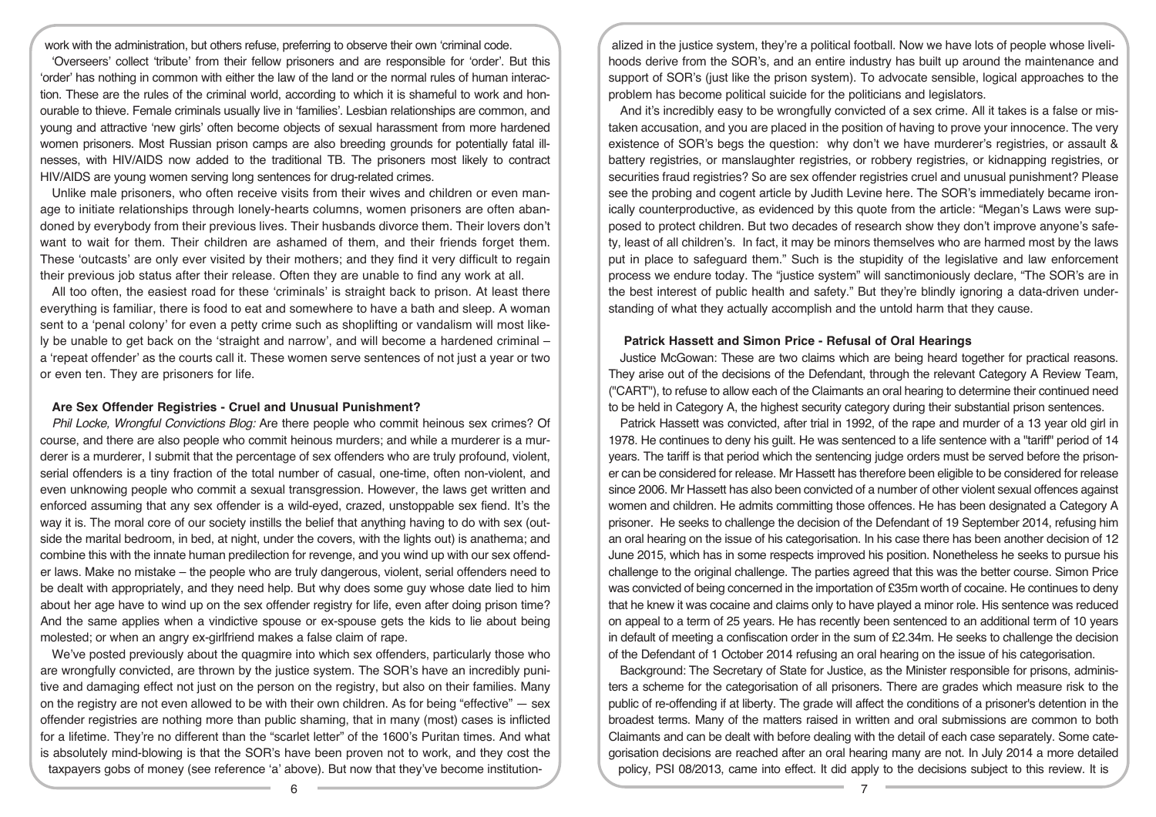work with the administration, but others refuse, preferring to observe their own 'criminal code.

'Overseers' collect 'tribute' from their fellow prisoners and are responsible for 'order'. But this 'order' has nothing in common with either the law of the land or the normal rules of human interaction. These are the rules of the criminal world, according to which it is shameful to work and honourable to thieve. Female criminals usually live in 'families'. Lesbian relationships are common, and young and attractive 'new girls' often become objects of sexual harassment from more hardened women prisoners. Most Russian prison camps are also breeding grounds for potentially fatal illnesses, with HIV/AIDS now added to the traditional TB. The prisoners most likely to contract HIV/AIDS are young women serving long sentences for drug-related crimes.

Unlike male prisoners, who often receive visits from their wives and children or even manage to initiate relationships through lonely-hearts columns, women prisoners are often abandoned by everybody from their previous lives. Their husbands divorce them. Their lovers don't want to wait for them. Their children are ashamed of them, and their friends forget them. These 'outcasts' are only ever visited by their mothers; and they find it very difficult to regain their previous job status after their release. Often they are unable to find any work at all.

All too often, the easiest road for these 'criminals' is straight back to prison. At least there everything is familiar, there is food to eat and somewhere to have a bath and sleep. A woman sent to a 'penal colony' for even a petty crime such as shoplifting or vandalism will most likely be unable to get back on the 'straight and narrow', and will become a hardened criminal – a 'repeat offender' as the courts call it. These women serve sentences of not just a year or two or even ten. They are prisoners for life.

#### **Are Sex Offender Registries - Cruel and Unusual Punishment?**

*Phil Locke, Wrongful Convictions Blog:* Are there people who commit heinous sex crimes? Of course, and there are also people who commit heinous murders; and while a murderer is a murderer is a murderer, I submit that the percentage of sex offenders who are truly profound, violent, serial offenders is a tiny fraction of the total number of casual, one-time, often non-violent, and even unknowing people who commit a sexual transgression. However, the laws get written and enforced assuming that any sex offender is a wild-eyed, crazed, unstoppable sex fiend. It's the way it is. The moral core of our society instills the belief that anything having to do with sex (outside the marital bedroom, in bed, at night, under the covers, with the lights out) is anathema; and combine this with the innate human predilection for revenge, and you wind up with our sex offender laws. Make no mistake – the people who are truly dangerous, violent, serial offenders need to be dealt with appropriately, and they need help. But why does some guy whose date lied to him about her age have to wind up on the sex offender registry for life, even after doing prison time? And the same applies when a vindictive spouse or ex-spouse gets the kids to lie about being molested; or when an angry ex-girlfriend makes a false claim of rape.

We've posted previously about the quagmire into which sex offenders, particularly those who are wrongfully convicted, are thrown by the justice system. The SOR's have an incredibly punitive and damaging effect not just on the person on the registry, but also on their families. Many on the registry are not even allowed to be with their own children. As for being "effective" — sex offender registries are nothing more than public shaming, that in many (most) cases is inflicted for a lifetime. They're no different than the "scarlet letter" of the 1600's Puritan times. And what is absolutely mind-blowing is that the SOR's have been proven not to work, and they cost the taxpayers gobs of money (see reference 'a' above). But now that they've become institution-

alized in the justice system, they're a political football. Now we have lots of people whose livelihoods derive from the SOR's, and an entire industry has built up around the maintenance and support of SOR's (just like the prison system). To advocate sensible, logical approaches to the problem has become political suicide for the politicians and legislators.

And it's incredibly easy to be wrongfully convicted of a sex crime. All it takes is a false or mistaken accusation, and you are placed in the position of having to prove your innocence. The very existence of SOR's begs the question: why don't we have murderer's registries, or assault & battery registries, or manslaughter registries, or robbery registries, or kidnapping registries, or securities fraud registries? So are sex offender registries cruel and unusual punishment? Please see the probing and cogent article by Judith Levine here. The SOR's immediately became ironically counterproductive, as evidenced by this quote from the article: "Megan's Laws were supposed to protect children. But two decades of research show they don't improve anyone's safety, least of all children's. In fact, it may be minors themselves who are harmed most by the laws put in place to safeguard them." Such is the stupidity of the legislative and law enforcement process we endure today. The "justice system" will sanctimoniously declare, "The SOR's are in the best interest of public health and safety." But they're blindly ignoring a data-driven understanding of what they actually accomplish and the untold harm that they cause.

#### **Patrick Hassett and Simon Price - Refusal of Oral Hearings**

Justice McGowan: These are two claims which are being heard together for practical reasons. They arise out of the decisions of the Defendant, through the relevant Category A Review Team, ("CART"), to refuse to allow each of the Claimants an oral hearing to determine their continued need to be held in Category A, the highest security category during their substantial prison sentences.

Patrick Hassett was convicted, after trial in 1992, of the rape and murder of a 13 year old girl in 1978. He continues to deny his guilt. He was sentenced to a life sentence with a "tariff" period of 14 years. The tariff is that period which the sentencing judge orders must be served before the prisoner can be considered for release. Mr Hassett has therefore been eligible to be considered for release since 2006. Mr Hassett has also been convicted of a number of other violent sexual offences against women and children. He admits committing those offences. He has been designated a Category A prisoner. He seeks to challenge the decision of the Defendant of 19 September 2014, refusing him an oral hearing on the issue of his categorisation. In his case there has been another decision of 12 June 2015, which has in some respects improved his position. Nonetheless he seeks to pursue his challenge to the original challenge. The parties agreed that this was the better course. Simon Price was convicted of being concerned in the importation of £35m worth of cocaine. He continues to deny that he knew it was cocaine and claims only to have played a minor role. His sentence was reduced on appeal to a term of 25 years. He has recently been sentenced to an additional term of 10 years in default of meeting a confiscation order in the sum of £2.34m. He seeks to challenge the decision of the Defendant of 1 October 2014 refusing an oral hearing on the issue of his categorisation.

Background: The Secretary of State for Justice, as the Minister responsible for prisons, administers a scheme for the categorisation of all prisoners. There are grades which measure risk to the public of re-offending if at liberty. The grade will affect the conditions of a prisoner's detention in the broadest terms. Many of the matters raised in written and oral submissions are common to both Claimants and can be dealt with before dealing with the detail of each case separately. Some categorisation decisions are reached after an oral hearing many are not. In July 2014 a more detailed policy, PSI 08/2013, came into effect. It did apply to the decisions subject to this review. It is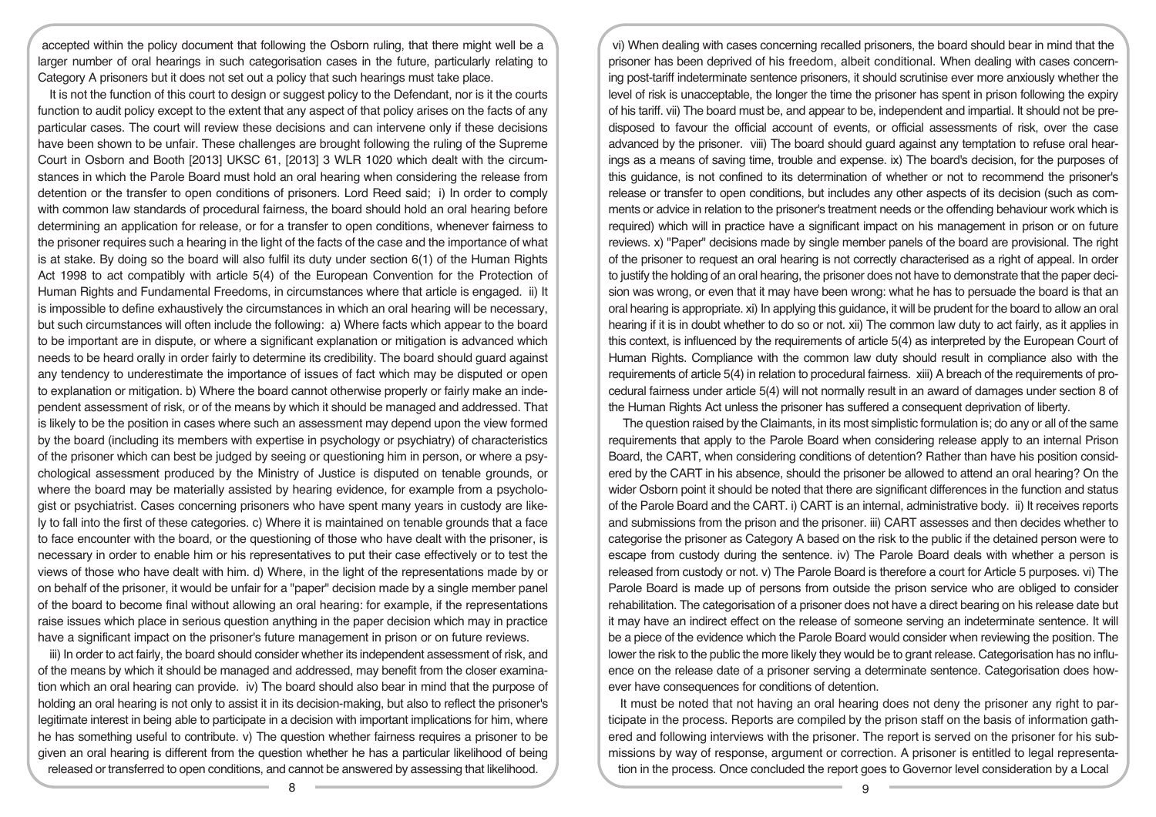accepted within the policy document that following the Osborn ruling, that there might well be a larger number of oral hearings in such categorisation cases in the future, particularly relating to Category A prisoners but it does not set out a policy that such hearings must take place.

It is not the function of this court to design or suggest policy to the Defendant, nor is it the courts function to audit policy except to the extent that any aspect of that policy arises on the facts of any particular cases. The court will review these decisions and can intervene only if these decisions have been shown to be unfair. These challenges are brought following the ruling of the Supreme Court in Osborn and Booth [2013] UKSC 61, [2013] 3 WLR 1020 which dealt with the circumstances in which the Parole Board must hold an oral hearing when considering the release from detention or the transfer to open conditions of prisoners. Lord Reed said; i) In order to comply with common law standards of procedural fairness, the board should hold an oral hearing before determining an application for release, or for a transfer to open conditions, whenever fairness to the prisoner requires such a hearing in the light of the facts of the case and the importance of what is at stake. By doing so the board will also fulfil its duty under section 6(1) of the Human Rights Act 1998 to act compatibly with article 5(4) of the European Convention for the Protection of Human Rights and Fundamental Freedoms, in circumstances where that article is engaged. ii) It is impossible to define exhaustively the circumstances in which an oral hearing will be necessary, but such circumstances will often include the following: a) Where facts which appear to the board to be important are in dispute, or where a significant explanation or mitigation is advanced which needs to be heard orally in order fairly to determine its credibility. The board should guard against any tendency to underestimate the importance of issues of fact which may be disputed or open to explanation or mitigation. b) Where the board cannot otherwise properly or fairly make an independent assessment of risk, or of the means by which it should be managed and addressed. That is likely to be the position in cases where such an assessment may depend upon the view formed by the board (including its members with expertise in psychology or psychiatry) of characteristics of the prisoner which can best be judged by seeing or questioning him in person, or where a psychological assessment produced by the Ministry of Justice is disputed on tenable grounds, or where the board may be materially assisted by hearing evidence, for example from a psychologist or psychiatrist. Cases concerning prisoners who have spent many years in custody are likely to fall into the first of these categories. c) Where it is maintained on tenable grounds that a face to face encounter with the board, or the questioning of those who have dealt with the prisoner, is necessary in order to enable him or his representatives to put their case effectively or to test the views of those who have dealt with him. d) Where, in the light of the representations made by or on behalf of the prisoner, it would be unfair for a "paper" decision made by a single member panel of the board to become final without allowing an oral hearing: for example, if the representations raise issues which place in serious question anything in the paper decision which may in practice have a significant impact on the prisoner's future management in prison or on future reviews.

iii) In order to act fairly, the board should consider whether its independent assessment of risk, and of the means by which it should be managed and addressed, may benefit from the closer examination which an oral hearing can provide. iv) The board should also bear in mind that the purpose of holding an oral hearing is not only to assist it in its decision-making, but also to reflect the prisoner's legitimate interest in being able to participate in a decision with important implications for him, where he has something useful to contribute. v) The question whether fairness requires a prisoner to be given an oral hearing is different from the question whether he has a particular likelihood of being released or transferred to open conditions, and cannot be answered by assessing that likelihood.

vi) When dealing with cases concerning recalled prisoners, the board should bear in mind that the prisoner has been deprived of his freedom, albeit conditional. When dealing with cases concerning post-tariff indeterminate sentence prisoners, it should scrutinise ever more anxiously whether the level of risk is unacceptable, the longer the time the prisoner has spent in prison following the expiry of his tariff. vii) The board must be, and appear to be, independent and impartial. It should not be predisposed to favour the official account of events, or official assessments of risk, over the case advanced by the prisoner. viii) The board should guard against any temptation to refuse oral hearings as a means of saving time, trouble and expense. ix) The board's decision, for the purposes of this guidance, is not confined to its determination of whether or not to recommend the prisoner's release or transfer to open conditions, but includes any other aspects of its decision (such as comments or advice in relation to the prisoner's treatment needs or the offending behaviour work which is required) which will in practice have a significant impact on his management in prison or on future reviews. x) "Paper" decisions made by single member panels of the board are provisional. The right of the prisoner to request an oral hearing is not correctly characterised as a right of appeal. In order to justify the holding of an oral hearing, the prisoner does not have to demonstrate that the paper decision was wrong, or even that it may have been wrong: what he has to persuade the board is that an oral hearing is appropriate. xi) In applying this guidance, it will be prudent for the board to allow an oral hearing if it is in doubt whether to do so or not. xii) The common law duty to act fairly, as it applies in this context, is influenced by the requirements of article 5(4) as interpreted by the European Court of Human Rights. Compliance with the common law duty should result in compliance also with the requirements of article 5(4) in relation to procedural fairness. xiii) A breach of the requirements of procedural fairness under article 5(4) will not normally result in an award of damages under section 8 of the Human Rights Act unless the prisoner has suffered a consequent deprivation of liberty.

The question raised by the Claimants, in its most simplistic formulation is; do any or all of the same requirements that apply to the Parole Board when considering release apply to an internal Prison Board, the CART, when considering conditions of detention? Rather than have his position considered by the CART in his absence, should the prisoner be allowed to attend an oral hearing? On the wider Osborn point it should be noted that there are significant differences in the function and status of the Parole Board and the CART. i) CART is an internal, administrative body. ii) It receives reports and submissions from the prison and the prisoner. iii) CART assesses and then decides whether to categorise the prisoner as Category A based on the risk to the public if the detained person were to escape from custody during the sentence. iv) The Parole Board deals with whether a person is released from custody or not. v) The Parole Board is therefore a court for Article 5 purposes. vi) The Parole Board is made up of persons from outside the prison service who are obliged to consider rehabilitation. The categorisation of a prisoner does not have a direct bearing on his release date but it may have an indirect effect on the release of someone serving an indeterminate sentence. It will be a piece of the evidence which the Parole Board would consider when reviewing the position. The lower the risk to the public the more likely they would be to grant release. Categorisation has no influence on the release date of a prisoner serving a determinate sentence. Categorisation does however have consequences for conditions of detention.

It must be noted that not having an oral hearing does not deny the prisoner any right to participate in the process. Reports are compiled by the prison staff on the basis of information gathered and following interviews with the prisoner. The report is served on the prisoner for his submissions by way of response, argument or correction. A prisoner is entitled to legal representation in the process. Once concluded the report goes to Governor level consideration by a Local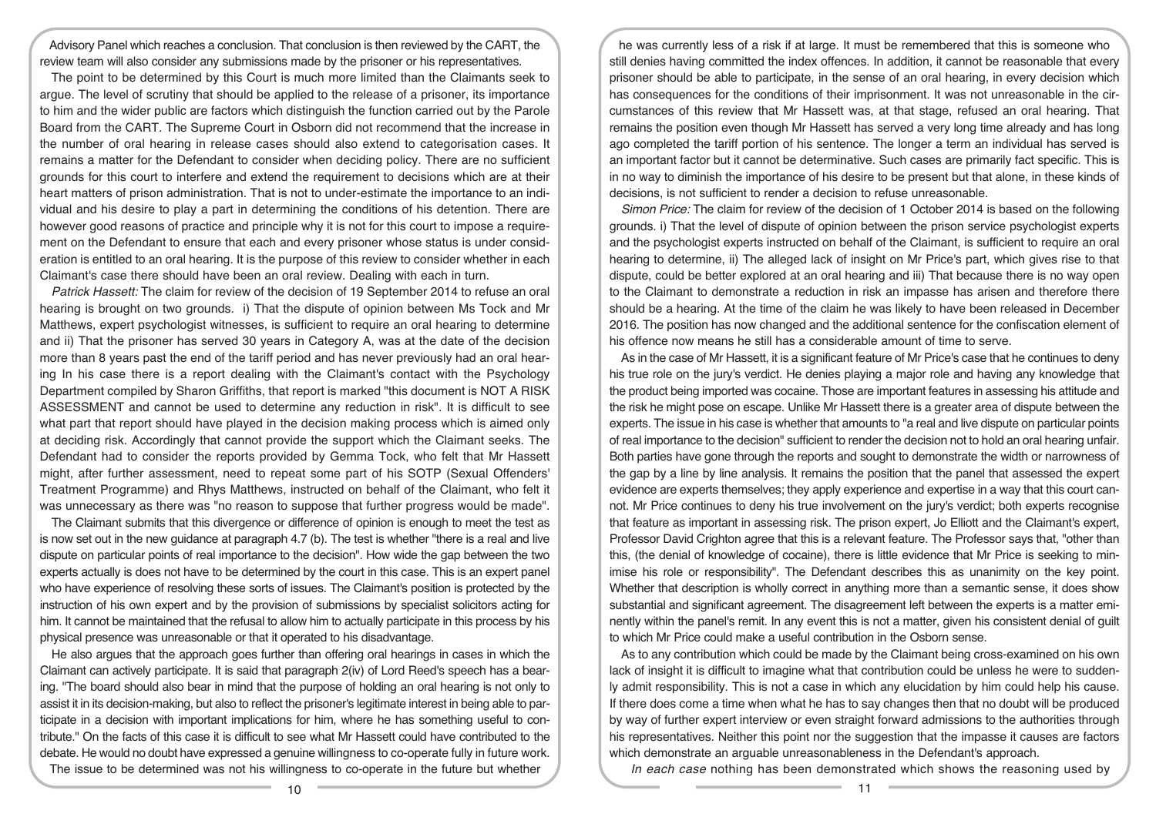Advisory Panel which reaches a conclusion. That conclusion is then reviewed by the CART, the review team will also consider any submissions made by the prisoner or his representatives.

The point to be determined by this Court is much more limited than the Claimants seek to argue. The level of scrutiny that should be applied to the release of a prisoner, its importance to him and the wider public are factors which distinguish the function carried out by the Parole Board from the CART. The Supreme Court in Osborn did not recommend that the increase in the number of oral hearing in release cases should also extend to categorisation cases. It remains a matter for the Defendant to consider when deciding policy. There are no sufficient grounds for this court to interfere and extend the requirement to decisions which are at their heart matters of prison administration. That is not to under-estimate the importance to an individual and his desire to play a part in determining the conditions of his detention. There are however good reasons of practice and principle why it is not for this court to impose a requirement on the Defendant to ensure that each and every prisoner whose status is under consideration is entitled to an oral hearing. It is the purpose of this review to consider whether in each Claimant's case there should have been an oral review. Dealing with each in turn.

*Patrick Hassett:* The claim for review of the decision of 19 September 2014 to refuse an oral hearing is brought on two grounds. i) That the dispute of opinion between Ms Tock and Mr Matthews, expert psychologist witnesses, is sufficient to require an oral hearing to determine and ii) That the prisoner has served 30 years in Category A, was at the date of the decision more than 8 years past the end of the tariff period and has never previously had an oral hearing In his case there is a report dealing with the Claimant's contact with the Psychology Department compiled by Sharon Griffiths, that report is marked "this document is NOT A RISK ASSESSMENT and cannot be used to determine any reduction in risk". It is difficult to see what part that report should have played in the decision making process which is aimed only at deciding risk. Accordingly that cannot provide the support which the Claimant seeks. The Defendant had to consider the reports provided by Gemma Tock, who felt that Mr Hassett might, after further assessment, need to repeat some part of his SOTP (Sexual Offenders' Treatment Programme) and Rhys Matthews, instructed on behalf of the Claimant, who felt it was unnecessary as there was "no reason to suppose that further progress would be made".

The Claimant submits that this divergence or difference of opinion is enough to meet the test as is now set out in the new guidance at paragraph 4.7 (b). The test is whether "there is a real and live dispute on particular points of real importance to the decision". How wide the gap between the two experts actually is does not have to be determined by the court in this case. This is an expert panel who have experience of resolving these sorts of issues. The Claimant's position is protected by the instruction of his own expert and by the provision of submissions by specialist solicitors acting for him. It cannot be maintained that the refusal to allow him to actually participate in this process by his physical presence was unreasonable or that it operated to his disadvantage.

He also argues that the approach goes further than offering oral hearings in cases in which the Claimant can actively participate. It is said that paragraph 2(iv) of Lord Reed's speech has a bearing. "The board should also bear in mind that the purpose of holding an oral hearing is not only to assist it in its decision-making, but also to reflect the prisoner's legitimate interest in being able to participate in a decision with important implications for him, where he has something useful to contribute." On the facts of this case it is difficult to see what Mr Hassett could have contributed to the debate. He would no doubt have expressed a genuine willingness to co-operate fully in future work. The issue to be determined was not his willingness to co-operate in the future but whether

he was currently less of a risk if at large. It must be remembered that this is someone who still denies having committed the index offences. In addition, it cannot be reasonable that every prisoner should be able to participate, in the sense of an oral hearing, in every decision which has consequences for the conditions of their imprisonment. It was not unreasonable in the circumstances of this review that Mr Hassett was, at that stage, refused an oral hearing. That remains the position even though Mr Hassett has served a very long time already and has long ago completed the tariff portion of his sentence. The longer a term an individual has served is an important factor but it cannot be determinative. Such cases are primarily fact specific. This is in no way to diminish the importance of his desire to be present but that alone, in these kinds of decisions, is not sufficient to render a decision to refuse unreasonable.

*Simon Price:* The claim for review of the decision of 1 October 2014 is based on the following grounds. i) That the level of dispute of opinion between the prison service psychologist experts and the psychologist experts instructed on behalf of the Claimant, is sufficient to require an oral hearing to determine, ii) The alleged lack of insight on Mr Price's part, which gives rise to that dispute, could be better explored at an oral hearing and iii) That because there is no way open to the Claimant to demonstrate a reduction in risk an impasse has arisen and therefore there should be a hearing. At the time of the claim he was likely to have been released in December 2016. The position has now changed and the additional sentence for the confiscation element of his offence now means he still has a considerable amount of time to serve.

As in the case of Mr Hassett, it is a significant feature of Mr Price's case that he continues to deny his true role on the jury's verdict. He denies playing a major role and having any knowledge that the product being imported was cocaine. Those are important features in assessing his attitude and the risk he might pose on escape. Unlike Mr Hassett there is a greater area of dispute between the experts. The issue in his case is whether that amounts to "a real and live dispute on particular points of real importance to the decision" sufficient to render the decision not to hold an oral hearing unfair. Both parties have gone through the reports and sought to demonstrate the width or narrowness of the gap by a line by line analysis. It remains the position that the panel that assessed the expert evidence are experts themselves; they apply experience and expertise in a way that this court cannot. Mr Price continues to deny his true involvement on the jury's verdict; both experts recognise that feature as important in assessing risk. The prison expert, Jo Elliott and the Claimant's expert, Professor David Crighton agree that this is a relevant feature. The Professor says that, "other than this, (the denial of knowledge of cocaine), there is little evidence that Mr Price is seeking to minimise his role or responsibility". The Defendant describes this as unanimity on the key point. Whether that description is wholly correct in anything more than a semantic sense, it does show substantial and significant agreement. The disagreement left between the experts is a matter eminently within the panel's remit. In any event this is not a matter, given his consistent denial of guilt to which Mr Price could make a useful contribution in the Osborn sense.

As to any contribution which could be made by the Claimant being cross-examined on his own lack of insight it is difficult to imagine what that contribution could be unless he were to suddenly admit responsibility. This is not a case in which any elucidation by him could help his cause. If there does come a time when what he has to say changes then that no doubt will be produced by way of further expert interview or even straight forward admissions to the authorities through his representatives. Neither this point nor the suggestion that the impasse it causes are factors which demonstrate an arguable unreasonableness in the Defendant's approach.

*In each case* nothing has been demonstrated which shows the reasoning used by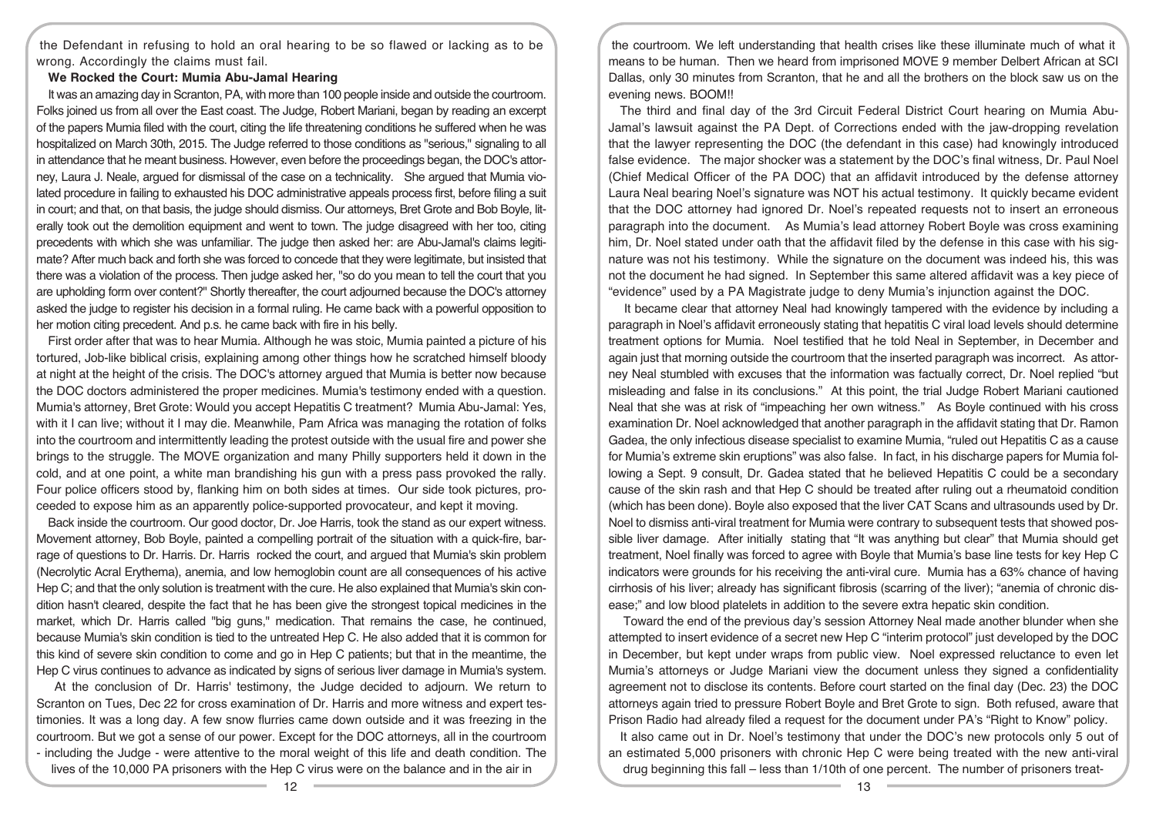the Defendant in refusing to hold an oral hearing to be so flawed or lacking as to be wrong. Accordingly the claims must fail.

# **We Rocked the Court: Mumia Abu-Jamal Hearing**

It was an amazing day in Scranton, PA, with more than 100 people inside and outside the courtroom. Folks joined us from all over the East coast. The Judge, Robert Mariani, began by reading an excerpt of the papers Mumia filed with the court, citing the life threatening conditions he suffered when he was hospitalized on March 30th, 2015. The Judge referred to those conditions as "serious," signaling to all in attendance that he meant business. However, even before the proceedings began, the DOC's attorney, Laura J. Neale, argued for dismissal of the case on a technicality. She argued that Mumia violated procedure in failing to exhausted his DOC administrative appeals process first, before filing a suit in court; and that, on that basis, the judge should dismiss. Our attorneys, Bret Grote and Bob Boyle, literally took out the demolition equipment and went to town. The judge disagreed with her too, citing precedents with which she was unfamiliar. The judge then asked her: are Abu-Jamal's claims legitimate? After much back and forth she was forced to concede that they were legitimate, but insisted that there was a violation of the process. Then judge asked her, "so do you mean to tell the court that you are upholding form over content?" Shortly thereafter, the court adjourned because the DOC's attorney asked the judge to register his decision in a formal ruling. He came back with a powerful opposition to her motion citing precedent. And p.s. he came back with fire in his belly.

First order after that was to hear Mumia. Although he was stoic, Mumia painted a picture of his tortured, Job-like biblical crisis, explaining among other things how he scratched himself bloody at night at the height of the crisis. The DOC's attorney argued that Mumia is better now because the DOC doctors administered the proper medicines. Mumia's testimony ended with a question. Mumia's attorney, Bret Grote: Would you accept Hepatitis C treatment? Mumia Abu-Jamal: Yes, with it I can live; without it I may die. Meanwhile, Pam Africa was managing the rotation of folks into the courtroom and intermittently leading the protest outside with the usual fire and power she brings to the struggle. The MOVE organization and many Philly supporters held it down in the cold, and at one point, a white man brandishing his gun with a press pass provoked the rally. Four police officers stood by, flanking him on both sides at times. Our side took pictures, proceeded to expose him as an apparently police-supported provocateur, and kept it moving.

Back inside the courtroom. Our good doctor, Dr. Joe Harris, took the stand as our expert witness. Movement attorney, Bob Boyle, painted a compelling portrait of the situation with a quick-fire, barrage of questions to Dr. Harris. Dr. Harris rocked the court, and argued that Mumia's skin problem (Necrolytic Acral Erythema), anemia, and low hemoglobin count are all consequences of his active Hep C; and that the only solution is treatment with the cure. He also explained that Mumia's skin condition hasn't cleared, despite the fact that he has been give the strongest topical medicines in the market, which Dr. Harris called "big guns," medication. That remains the case, he continued, because Mumia's skin condition is tied to the untreated Hep C. He also added that it is common for this kind of severe skin condition to come and go in Hep C patients; but that in the meantime, the Hep C virus continues to advance as indicated by signs of serious liver damage in Mumia's system.

At the conclusion of Dr. Harris' testimony, the Judge decided to adjourn. We return to Scranton on Tues, Dec 22 for cross examination of Dr. Harris and more witness and expert testimonies. It was a long day. A few snow flurries came down outside and it was freezing in the courtroom. But we got a sense of our power. Except for the DOC attorneys, all in the courtroom - including the Judge - were attentive to the moral weight of this life and death condition. The lives of the 10,000 PA prisoners with the Hep C virus were on the balance and in the air in

the courtroom. We left understanding that health crises like these illuminate much of what it means to be human. Then we heard from imprisoned MOVE 9 member Delbert African at SCI Dallas, only 30 minutes from Scranton, that he and all the brothers on the block saw us on the evening news. BOOM!!

The third and final day of the 3rd Circuit Federal District Court hearing on Mumia Abu-Jamal's lawsuit against the PA Dept. of Corrections ended with the jaw-dropping revelation that the lawyer representing the DOC (the defendant in this case) had knowingly introduced false evidence. The major shocker was a statement by the DOC's final witness, Dr. Paul Noel (Chief Medical Officer of the PA DOC) that an affidavit introduced by the defense attorney Laura Neal bearing Noel's signature was NOT his actual testimony. It quickly became evident that the DOC attorney had ignored Dr. Noel's repeated requests not to insert an erroneous paragraph into the document. As Mumia's lead attorney Robert Boyle was cross examining him, Dr. Noel stated under oath that the affidavit filed by the defense in this case with his signature was not his testimony. While the signature on the document was indeed his, this was not the document he had signed. In September this same altered affidavit was a key piece of "evidence" used by a PA Magistrate judge to deny Mumia's injunction against the DOC.

It became clear that attorney Neal had knowingly tampered with the evidence by including a paragraph in Noel's affidavit erroneously stating that hepatitis C viral load levels should determine treatment options for Mumia. Noel testified that he told Neal in September, in December and again just that morning outside the courtroom that the inserted paragraph was incorrect. As attorney Neal stumbled with excuses that the information was factually correct, Dr. Noel replied "but misleading and false in its conclusions." At this point, the trial Judge Robert Mariani cautioned Neal that she was at risk of "impeaching her own witness." As Boyle continued with his cross examination Dr. Noel acknowledged that another paragraph in the affidavit stating that Dr. Ramon Gadea, the only infectious disease specialist to examine Mumia, "ruled out Hepatitis C as a cause for Mumia's extreme skin eruptions" was also false. In fact, in his discharge papers for Mumia following a Sept. 9 consult, Dr. Gadea stated that he believed Hepatitis C could be a secondary cause of the skin rash and that Hep C should be treated after ruling out a rheumatoid condition (which has been done). Boyle also exposed that the liver CAT Scans and ultrasounds used by Dr. Noel to dismiss anti-viral treatment for Mumia were contrary to subsequent tests that showed possible liver damage. After initially stating that "It was anything but clear" that Mumia should get treatment, Noel finally was forced to agree with Boyle that Mumia's base line tests for key Hep C indicators were grounds for his receiving the anti-viral cure. Mumia has a 63% chance of having cirrhosis of his liver; already has significant fibrosis (scarring of the liver); "anemia of chronic disease;" and low blood platelets in addition to the severe extra hepatic skin condition.

Toward the end of the previous day's session Attorney Neal made another blunder when she attempted to insert evidence of a secret new Hep C "interim protocol" just developed by the DOC in December, but kept under wraps from public view. Noel expressed reluctance to even let Mumia's attorneys or Judge Mariani view the document unless they signed a confidentiality agreement not to disclose its contents. Before court started on the final day (Dec. 23) the DOC attorneys again tried to pressure Robert Boyle and Bret Grote to sign. Both refused, aware that Prison Radio had already filed a request for the document under PA's "Right to Know" policy.

It also came out in Dr. Noel's testimony that under the DOC's new protocols only 5 out of an estimated 5,000 prisoners with chronic Hep C were being treated with the new anti-viral drug beginning this fall – less than 1/10th of one percent. The number of prisoners treat-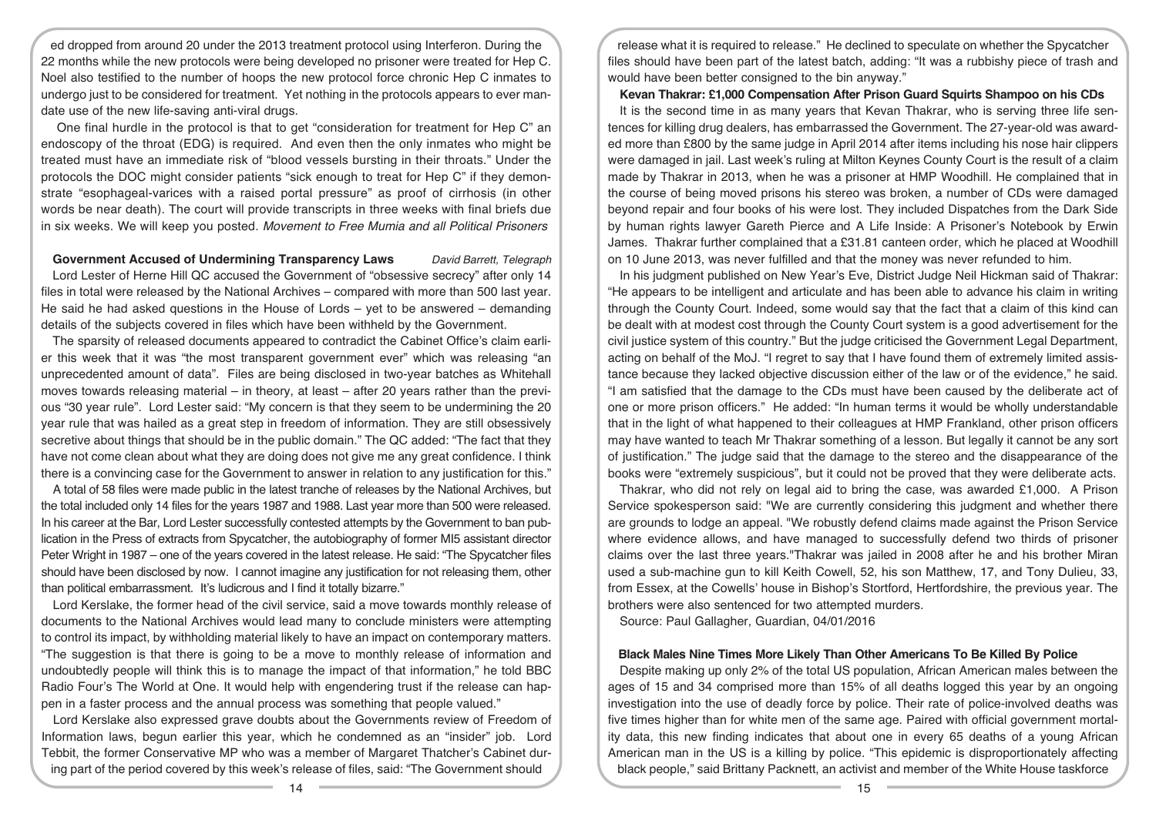ed dropped from around 20 under the 2013 treatment protocol using Interferon. During the 22 months while the new protocols were being developed no prisoner were treated for Hep C. Noel also testified to the number of hoops the new protocol force chronic Hep C inmates to undergo just to be considered for treatment. Yet nothing in the protocols appears to ever mandate use of the new life-saving anti-viral drugs.

One final hurdle in the protocol is that to get "consideration for treatment for Hep C" an endoscopy of the throat (EDG) is required. And even then the only inmates who might be treated must have an immediate risk of "blood vessels bursting in their throats." Under the protocols the DOC might consider patients "sick enough to treat for Hep C" if they demonstrate "esophageal-varices with a raised portal pressure" as proof of cirrhosis (in other words be near death). The court will provide transcripts in three weeks with final briefs due in six weeks. We will keep you posted. *Movement to Free Mumia and all Political Prisoners*

**Government Accused of Undermining Transparency Laws** *David Barrett, Telegraph*

Lord Lester of Herne Hill QC accused the Government of "obsessive secrecy" after only 14 files in total were released by the National Archives – compared with more than 500 last year. He said he had asked questions in the House of Lords – yet to be answered – demanding details of the subjects covered in files which have been withheld by the Government.

The sparsity of released documents appeared to contradict the Cabinet Office's claim earlier this week that it was "the most transparent government ever" which was releasing "an unprecedented amount of data". Files are being disclosed in two-year batches as Whitehall moves towards releasing material – in theory, at least – after 20 years rather than the previous "30 year rule". Lord Lester said: "My concern is that they seem to be undermining the 20 year rule that was hailed as a great step in freedom of information. They are still obsessively secretive about things that should be in the public domain." The QC added: "The fact that they have not come clean about what they are doing does not give me any great confidence. I think there is a convincing case for the Government to answer in relation to any justification for this."

A total of 58 files were made public in the latest tranche of releases by the National Archives, but the total included only 14 files for the years 1987 and 1988. Last year more than 500 were released. In his career at the Bar, Lord Lester successfully contested attempts by the Government to ban publication in the Press of extracts from Spycatcher, the autobiography of former MI5 assistant director Peter Wright in 1987 – one of the years covered in the latest release. He said: "The Spycatcher files should have been disclosed by now. I cannot imagine any justification for not releasing them, other than political embarrassment. It's ludicrous and I find it totally bizarre."

Lord Kerslake, the former head of the civil service, said a move towards monthly release of documents to the National Archives would lead many to conclude ministers were attempting to control its impact, by withholding material likely to have an impact on contemporary matters. "The suggestion is that there is going to be a move to monthly release of information and undoubtedly people will think this is to manage the impact of that information," he told BBC Radio Four's The World at One. It would help with engendering trust if the release can happen in a faster process and the annual process was something that people valued."

Lord Kerslake also expressed grave doubts about the Governments review of Freedom of Information laws, begun earlier this year, which he condemned as an "insider" job. Lord Tebbit, the former Conservative MP who was a member of Margaret Thatcher's Cabinet during part of the period covered by this week's release of files, said: "The Government should

release what it is required to release." He declined to speculate on whether the Spycatcher files should have been part of the latest batch, adding: "It was a rubbishy piece of trash and would have been better consigned to the bin anyway."

#### **Kevan Thakrar: £1,000 Compensation After Prison Guard Squirts Shampoo on his CDs**

It is the second time in as many years that Kevan Thakrar, who is serving three life sentences for killing drug dealers, has embarrassed the Government. The 27-year-old was awarded more than £800 by the same judge in April 2014 after items including his nose hair clippers were damaged in jail. Last week's ruling at Milton Keynes County Court is the result of a claim made by Thakrar in 2013, when he was a prisoner at HMP Woodhill. He complained that in the course of being moved prisons his stereo was broken, a number of CDs were damaged beyond repair and four books of his were lost. They included Dispatches from the Dark Side by human rights lawyer Gareth Pierce and A Life Inside: A Prisoner's Notebook by Erwin James. Thakrar further complained that a £31.81 canteen order, which he placed at Woodhill on 10 June 2013, was never fulfilled and that the money was never refunded to him.

In his judgment published on New Year's Eve, District Judge Neil Hickman said of Thakrar: "He appears to be intelligent and articulate and has been able to advance his claim in writing through the County Court. Indeed, some would say that the fact that a claim of this kind can be dealt with at modest cost through the County Court system is a good advertisement for the civil justice system of this country." But the judge criticised the Government Legal Department, acting on behalf of the MoJ. "I regret to say that I have found them of extremely limited assistance because they lacked objective discussion either of the law or of the evidence," he said. "I am satisfied that the damage to the CDs must have been caused by the deliberate act of one or more prison officers." He added: "In human terms it would be wholly understandable that in the light of what happened to their colleagues at HMP Frankland, other prison officers may have wanted to teach Mr Thakrar something of a lesson. But legally it cannot be any sort of justification." The judge said that the damage to the stereo and the disappearance of the books were "extremely suspicious", but it could not be proved that they were deliberate acts.

Thakrar, who did not rely on legal aid to bring the case, was awarded £1,000. A Prison Service spokesperson said: "We are currently considering this judgment and whether there are grounds to lodge an appeal. "We robustly defend claims made against the Prison Service where evidence allows, and have managed to successfully defend two thirds of prisoner claims over the last three years."Thakrar was jailed in 2008 after he and his brother Miran used a sub-machine gun to kill Keith Cowell, 52, his son Matthew, 17, and Tony Dulieu, 33, from Essex, at the Cowells' house in Bishop's Stortford, Hertfordshire, the previous year. The brothers were also sentenced for two attempted murders.

Source: Paul Gallagher, Guardian, 04/01/2016

#### **Black Males Nine Times More Likely Than Other Americans To Be Killed By Police**

Despite making up only 2% of the total US population, African American males between the ages of 15 and 34 comprised more than 15% of all deaths logged this year by an ongoing investigation into the use of deadly force by police. Their rate of police-involved deaths was five times higher than for white men of the same age. Paired with official government mortality data, this new finding indicates that about one in every 65 deaths of a young African American man in the US is a killing by police. "This epidemic is disproportionately affecting black people," said Brittany Packnett, an activist and member of the White House taskforce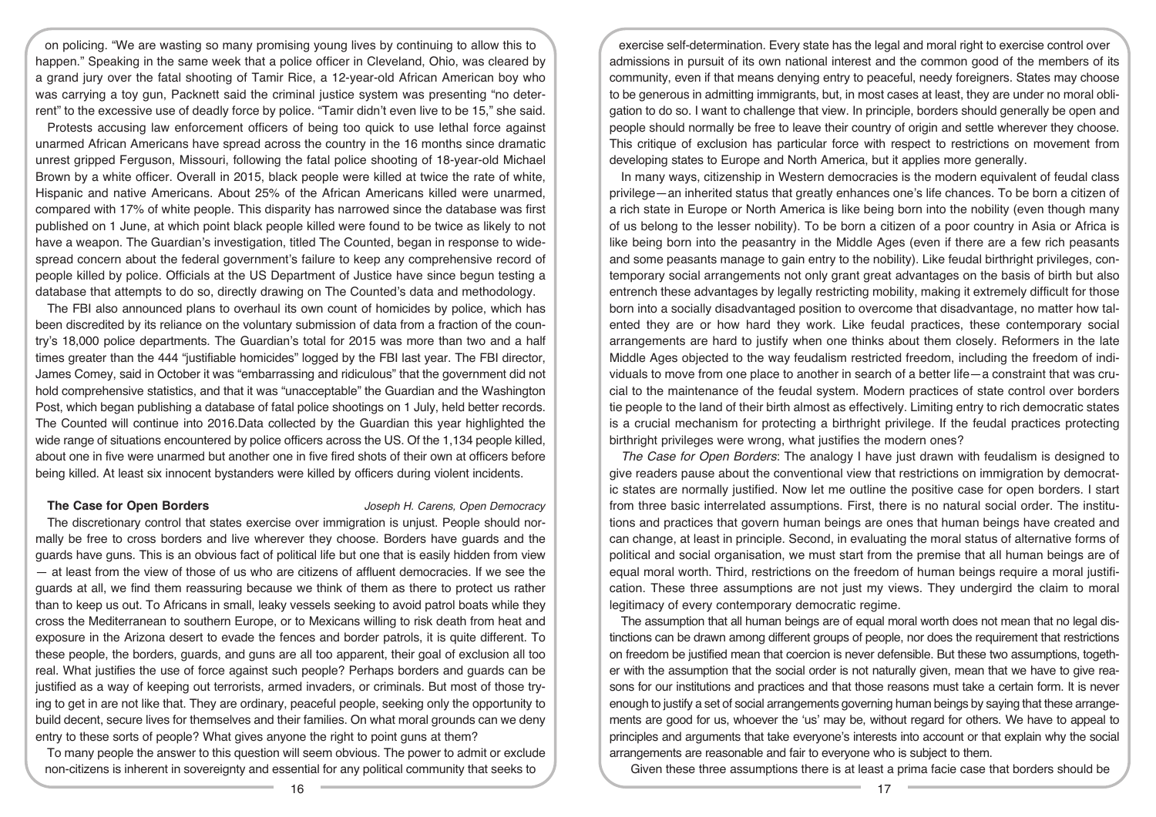on policing. "We are wasting so many promising young lives by continuing to allow this to happen." Speaking in the same week that a police officer in Cleveland, Ohio, was cleared by a grand jury over the fatal shooting of Tamir Rice, a 12-year-old African American boy who was carrying a toy gun, Packnett said the criminal justice system was presenting "no deterrent" to the excessive use of deadly force by police. "Tamir didn't even live to be 15," she said.

Protests accusing law enforcement officers of being too quick to use lethal force against unarmed African Americans have spread across the country in the 16 months since dramatic unrest gripped Ferguson, Missouri, following the fatal police shooting of 18-year-old Michael Brown by a white officer. Overall in 2015, black people were killed at twice the rate of white, Hispanic and native Americans. About 25% of the African Americans killed were unarmed, compared with 17% of white people. This disparity has narrowed since the database was first published on 1 June, at which point black people killed were found to be twice as likely to not have a weapon. The Guardian's investigation, titled The Counted, began in response to widespread concern about the federal government's failure to keep any comprehensive record of people killed by police. Officials at the US Department of Justice have since begun testing a database that attempts to do so, directly drawing on The Counted's data and methodology.

The FBI also announced plans to overhaul its own count of homicides by police, which has been discredited by its reliance on the voluntary submission of data from a fraction of the country's 18,000 police departments. The Guardian's total for 2015 was more than two and a half times greater than the 444 "justifiable homicides" logged by the FBI last year. The FBI director, James Comey, said in October it was "embarrassing and ridiculous" that the government did not hold comprehensive statistics, and that it was "unacceptable" the Guardian and the Washington Post, which began publishing a database of fatal police shootings on 1 July, held better records. The Counted will continue into 2016.Data collected by the Guardian this year highlighted the wide range of situations encountered by police officers across the US. Of the 1,134 people killed, about one in five were unarmed but another one in five fired shots of their own at officers before being killed. At least six innocent bystanders were killed by officers during violent incidents.

**The Case for Open Borders** *Joseph H. Carens, Open Democracy*

The discretionary control that states exercise over immigration is unjust. People should normally be free to cross borders and live wherever they choose. Borders have guards and the guards have guns. This is an obvious fact of political life but one that is easily hidden from view — at least from the view of those of us who are citizens of affluent democracies. If we see the guards at all, we find them reassuring because we think of them as there to protect us rather than to keep us out. To Africans in small, leaky vessels seeking to avoid patrol boats while they cross the Mediterranean to southern Europe, or to Mexicans willing to risk death from heat and exposure in the Arizona desert to evade the fences and border patrols, it is quite different. To these people, the borders, guards, and guns are all too apparent, their goal of exclusion all too real. What justifies the use of force against such people? Perhaps borders and guards can be justified as a way of keeping out terrorists, armed invaders, or criminals. But most of those trying to get in are not like that. They are ordinary, peaceful people, seeking only the opportunity to build decent, secure lives for themselves and their families. On what moral grounds can we deny entry to these sorts of people? What gives anyone the right to point guns at them?

To many people the answer to this question will seem obvious. The power to admit or exclude non-citizens is inherent in sovereignty and essential for any political community that seeks to

exercise self-determination. Every state has the legal and moral right to exercise control over admissions in pursuit of its own national interest and the common good of the members of its community, even if that means denying entry to peaceful, needy foreigners. States may choose to be generous in admitting immigrants, but, in most cases at least, they are under no moral obligation to do so. I want to challenge that view. In principle, borders should generally be open and people should normally be free to leave their country of origin and settle wherever they choose. This critique of exclusion has particular force with respect to restrictions on movement from developing states to Europe and North America, but it applies more generally.

In many ways, citizenship in Western democracies is the modern equivalent of feudal class privilege—an inherited status that greatly enhances one's life chances. To be born a citizen of a rich state in Europe or North America is like being born into the nobility (even though many of us belong to the lesser nobility). To be born a citizen of a poor country in Asia or Africa is like being born into the peasantry in the Middle Ages (even if there are a few rich peasants and some peasants manage to gain entry to the nobility). Like feudal birthright privileges, contemporary social arrangements not only grant great advantages on the basis of birth but also entrench these advantages by legally restricting mobility, making it extremely difficult for those born into a socially disadvantaged position to overcome that disadvantage, no matter how talented they are or how hard they work. Like feudal practices, these contemporary social arrangements are hard to justify when one thinks about them closely. Reformers in the late Middle Ages objected to the way feudalism restricted freedom, including the freedom of individuals to move from one place to another in search of a better life—a constraint that was crucial to the maintenance of the feudal system. Modern practices of state control over borders tie people to the land of their birth almost as effectively. Limiting entry to rich democratic states is a crucial mechanism for protecting a birthright privilege. If the feudal practices protecting birthright privileges were wrong, what justifies the modern ones?

*The Case for Open Borders*: The analogy I have just drawn with feudalism is designed to give readers pause about the conventional view that restrictions on immigration by democratic states are normally justified. Now let me outline the positive case for open borders. I start from three basic interrelated assumptions. First, there is no natural social order. The institutions and practices that govern human beings are ones that human beings have created and can change, at least in principle. Second, in evaluating the moral status of alternative forms of political and social organisation, we must start from the premise that all human beings are of equal moral worth. Third, restrictions on the freedom of human beings require a moral justification. These three assumptions are not just my views. They undergird the claim to moral legitimacy of every contemporary democratic regime.

The assumption that all human beings are of equal moral worth does not mean that no legal distinctions can be drawn among different groups of people, nor does the requirement that restrictions on freedom be justified mean that coercion is never defensible. But these two assumptions, together with the assumption that the social order is not naturally given, mean that we have to give reasons for our institutions and practices and that those reasons must take a certain form. It is never enough to justify a set of social arrangements governing human beings by saying that these arrangements are good for us, whoever the 'us' may be, without regard for others. We have to appeal to principles and arguments that take everyone's interests into account or that explain why the social arrangements are reasonable and fair to everyone who is subject to them.

Given these three assumptions there is at least a prima facie case that borders should be